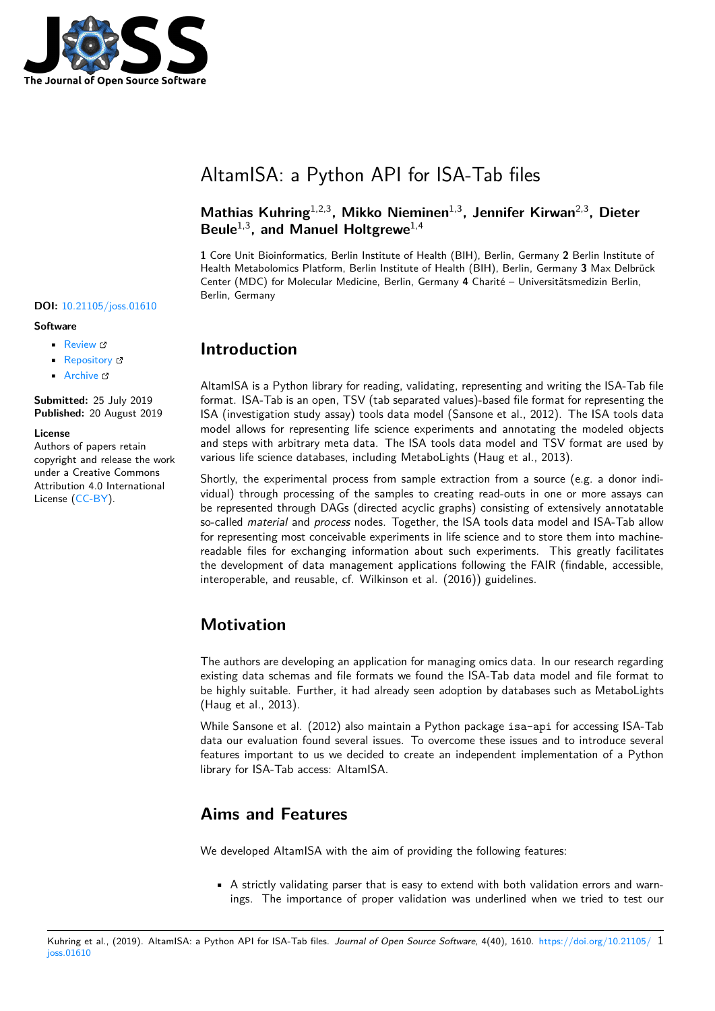

### **DOI:** 10.21105/joss.01610

#### **Software**

- Review &
- [Repository](https://doi.org/10.21105/joss.01610) &
- Archive

**Subm[itted:](https://github.com/openjournals/joss-reviews/issues/1610)** 25 July 2019 **Published:** [20 Au](https://github.com/bihealth/altamisa)gust 2019

#### **Licen[se](https://doi.org/10.5281/zenodo.3370902)**

Authors of papers retain copyright and release the work under a Creative Commons Attribution 4.0 International License (CC-BY).

# AltamISA: a Python API for ISA-Tab files

### **Mathias Kuhring**1,2,3**, Mikko Nieminen**1,3**, Jennifer Kirwan**2,3**, Dieter Beule**1,3**, and Manuel Holtgrewe**1,4

**1** Core Unit Bioinformatics, Berlin Institute of Health (BIH), Berlin, Germany **2** Berlin Institute of Health Metabolomics Platform, Berlin Institute of Health (BIH), Berlin, Germany **3** Max Delbrück Center (MDC) for Molecular Medicine, Berlin, Germany **4** Charité – Universitätsmedizin Berlin, Berlin, Germany

## **Introduction**

AltamISA is a Python library for reading, validating, representing and writing the ISA-Tab file format. ISA-Tab is an open, TSV (tab separated values)-based file format for representing the ISA (investigation study assay) tools data model (Sansone et al., 2012). The ISA tools data model allows for representing life science experiments and annotating the modeled objects and steps with arbitrary meta data. The ISA tools data model and TSV format are used by various life science databases, including MetaboLights (Haug et al., 2013).

Shortly, the experimental process from sample extraction from a source (e.g. a donor individual) through processing of the samples to creating read-outs in one or more assays can be represented through DAGs (directed acyclic graphs) consisting of extensively annotatable so-called *material* and *process* nodes. Together, the ISA tools data model and ISA-Tab allow for representing most conceivable experiments in life science and to store them into machinereadable files for exchanging information about such experiments. This greatly facilitates the development of data management applications following the FAIR (findable, accessible, interoperable, and reusable, cf. Wilkinson et al. (2016)) guidelines.

### **Motivation**

The authors are developing an application for managing omics data. In our research regarding existing data schemas and file formats we found the ISA-Tab data model and file format to be highly suitable. Further, it had already seen adoption by databases such as MetaboLights (Haug et al., 2013).

While Sansone et al. (2012) also maintain a Python package isa-api for accessing ISA-Tab data our evaluation found several issues. To overcome these issues and to introduce several features important to us we decided to create an independent implementation of a Python library for ISA-Tab access: AltamISA.

# **Aims and Features**

We developed AltamISA with the aim of providing the following features:

• A strictly validating parser that is easy to extend with both validation errors and warnings. The importance of proper validation was underlined when we tried to test our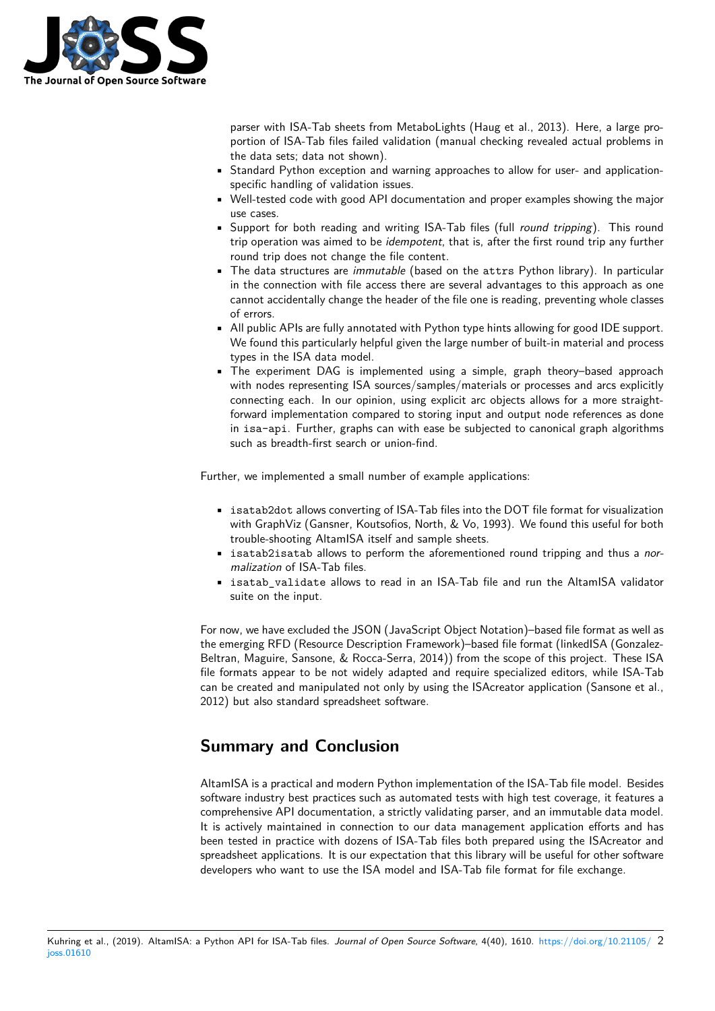

parser with ISA-Tab sheets from MetaboLights (Haug et al., 2013). Here, a large proportion of ISA-Tab files failed validation (manual checking revealed actual problems in the data sets; data not shown).

- Standard Python exception and warning approaches to allow for user- and applicationspecific handling of validation issues.
- Well-tested code with good API documentation and proper examples showing the major use cases.
- Support for both reading and writing ISA-Tab files (full *round tripping*). This round trip operation was aimed to be *idempotent*, that is, after the first round trip any further round trip does not change the file content.
- The data structures are *immutable* (based on the attrs Python library). In particular in the connection with file access there are several advantages to this approach as one cannot accidentally change the header of the file one is reading, preventing whole classes of errors.
- All public APIs are fully annotated with Python type hints allowing for good IDE support. We found this particularly helpful given the large number of built-in material and process types in the ISA data model.
- The experiment DAG is implemented using a simple, graph theory–based approach with nodes representing ISA sources/samples/materials or processes and arcs explicitly connecting each. In our opinion, using explicit arc objects allows for a more straightforward implementation compared to storing input and output node references as done in isa-api. Further, graphs can with ease be subjected to canonical graph algorithms such as breadth-first search or union-find.

Further, we implemented a small number of example applications:

- isatab2dot allows converting of ISA-Tab files into the DOT file format for visualization with GraphViz (Gansner, Koutsofios, North, & Vo, 1993). We found this useful for both trouble-shooting AltamISA itself and sample sheets.
- isatab2isatab allows to perform the aforementioned round tripping and thus a *normalization* of ISA-Tab files.
- isatab\_validate allows to read in an ISA-Tab file and run the AltamISA validator suite on the input.

For now, we have excluded the JSON (JavaScript Object Notation)–based file format as well as the emerging RFD (Resource Description Framework)–based file format (linkedISA (Gonzalez-Beltran, Maguire, Sansone, & Rocca-Serra, 2014)) from the scope of this project. These ISA file formats appear to be not widely adapted and require specialized editors, while ISA-Tab can be created and manipulated not only by using the ISAcreator application (Sansone et al., 2012) but also standard spreadsheet software.

# **Summary and Conclusion**

AltamISA is a practical and modern Python implementation of the ISA-Tab file model. Besides software industry best practices such as automated tests with high test coverage, it features a comprehensive API documentation, a strictly validating parser, and an immutable data model. It is actively maintained in connection to our data management application efforts and has been tested in practice with dozens of ISA-Tab files both prepared using the ISAcreator and spreadsheet applications. It is our expectation that this library will be useful for other software developers who want to use the ISA model and ISA-Tab file format for file exchange.